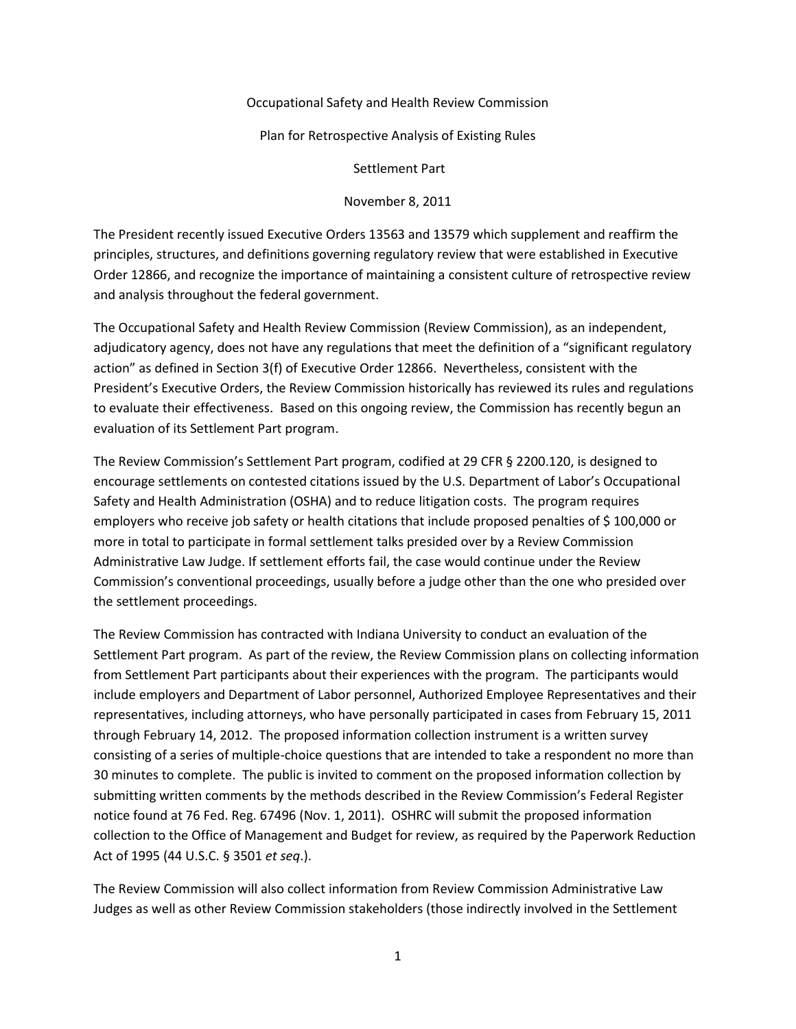## Occupational Safety and Health Review Commission

Plan for Retrospective Analysis of Existing Rules

Settlement Part

November 8, 2011

The President recently issued Executive Orders 13563 and 13579 which supplement and reaffirm the principles, structures, and definitions governing regulatory review that were established in Executive Order 12866, and recognize the importance of maintaining a consistent culture of retrospective review and analysis throughout the federal government.

The Occupational Safety and Health Review Commission (Review Commission), as an independent, adjudicatory agency, does not have any regulations that meet the definition of a "significant regulatory action" as defined in Section 3(f) of Executive Order 12866. Nevertheless, consistent with the President's Executive Orders, the Review Commission historically has reviewed its rules and regulations to evaluate their effectiveness. Based on this ongoing review, the Commission has recently begun an evaluation of its Settlement Part program.

The Review Commission's Settlement Part program, codified at 29 CFR § 2200.120, is designed to encourage settlements on contested citations issued by the U.S. Department of Labor's Occupational Safety and Health Administration (OSHA) and to reduce litigation costs. The program requires employers who receive job safety or health citations that include proposed penalties of \$ 100,000 or more in total to participate in formal settlement talks presided over by a Review Commission Administrative Law Judge. If settlement efforts fail, the case would continue under the Review Commission's conventional proceedings, usually before a judge other than the one who presided over the settlement proceedings.

The Review Commission has contracted with Indiana University to conduct an evaluation of the Settlement Part program. As part of the review, the Review Commission plans on collecting information from Settlement Part participants about their experiences with the program. The participants would include employers and Department of Labor personnel, Authorized Employee Representatives and their representatives, including attorneys, who have personally participated in cases from February 15, 2011 through February 14, 2012. The proposed information collection instrument is a written survey consisting of a series of multiple-choice questions that are intended to take a respondent no more than 30 minutes to complete. The public is invited to comment on the proposed information collection by submitting written comments by the methods described in the Review Commission's Federal Register notice found at 76 Fed. Reg. 67496 (Nov. 1, 2011). OSHRC will submit the proposed information collection to the Office of Management and Budget for review, as required by the Paperwork Reduction Act of 1995 (44 U.S.C. § 3501 *et seq*.).

The Review Commission will also collect information from Review Commission Administrative Law Judges as well as other Review Commission stakeholders (those indirectly involved in the Settlement